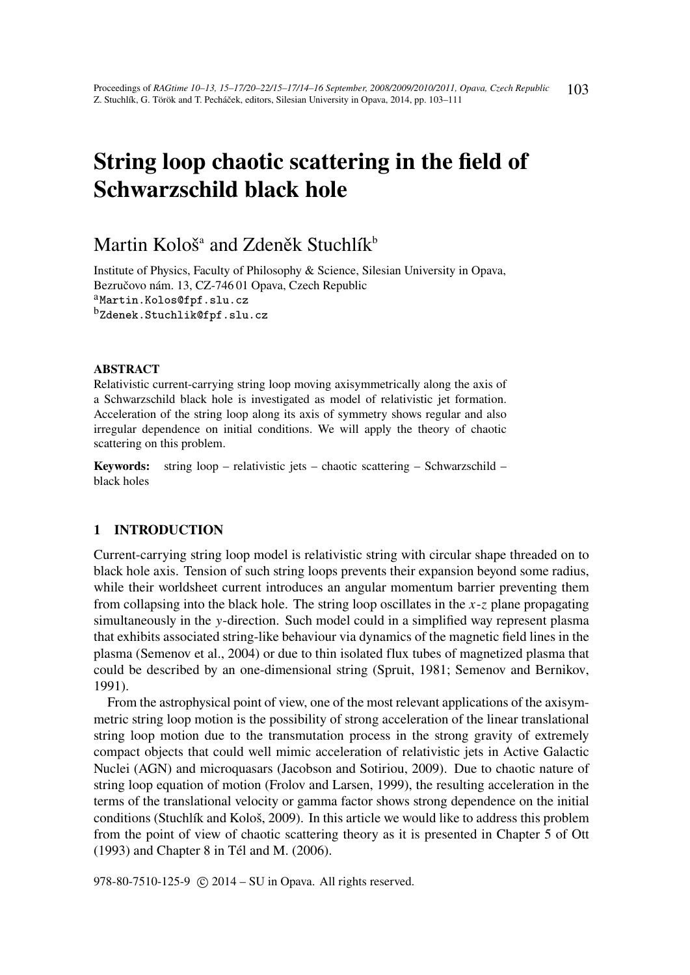# String loop chaotic scattering in the field of Schwarzschild black hole

# Martin Kološ $^{\textrm{\tiny a}}$  and Zdeněk Stuchlík $^{\textrm{\tiny b}}$

Institute of Physics, Faculty of Philosophy & Science, Silesian University in Opava, Bezručovo nám. 13, CZ-746 01 Opava, Czech Republic aMartin.Kolos@fpf.slu.cz <sup>b</sup>Zdenek.Stuchlik@fpf.slu.cz

#### ABSTRACT

Relativistic current-carrying string loop moving axisymmetrically along the axis of a Schwarzschild black hole is investigated as model of relativistic jet formation. Acceleration of the string loop along its axis of symmetry shows regular and also irregular dependence on initial conditions. We will apply the theory of chaotic scattering on this problem.

Keywords: string loop – relativistic jets – chaotic scattering – Schwarzschild – black holes

#### 1 INTRODUCTION

Current-carrying string loop model is relativistic string with circular shape threaded on to black hole axis. Tension of such string loops prevents their expansion beyond some radius, while their worldsheet current introduces an angular momentum barrier preventing them from collapsing into the black hole. The string loop oscillates in the *x*-*z* plane propagating simultaneously in the *y*-direction. Such model could in a simplified way represent plasma that exhibits associated string-like behaviour via dynamics of the magnetic field lines in the plasma (Semenov et al., 2004) or due to thin isolated flux tubes of magnetized plasma that could be described by an one-dimensional string (Spruit, 1981; Semenov and Bernikov, 1991).

From the astrophysical point of view, one of the most relevant applications of the axisymmetric string loop motion is the possibility of strong acceleration of the linear translational string loop motion due to the transmutation process in the strong gravity of extremely compact objects that could well mimic acceleration of relativistic jets in Active Galactic Nuclei (AGN) and microquasars (Jacobson and Sotiriou, 2009). Due to chaotic nature of string loop equation of motion (Frolov and Larsen, 1999), the resulting acceleration in the terms of the translational velocity or gamma factor shows strong dependence on the initial conditions (Stuchlík and Kološ, 2009). In this article we would like to address this problem from the point of view of chaotic scattering theory as it is presented in Chapter 5 of Ott (1993) and Chapter 8 in Tél and M. (2006).

978-80-7510-125-9 (c) 2014 – SU in Opava. All rights reserved.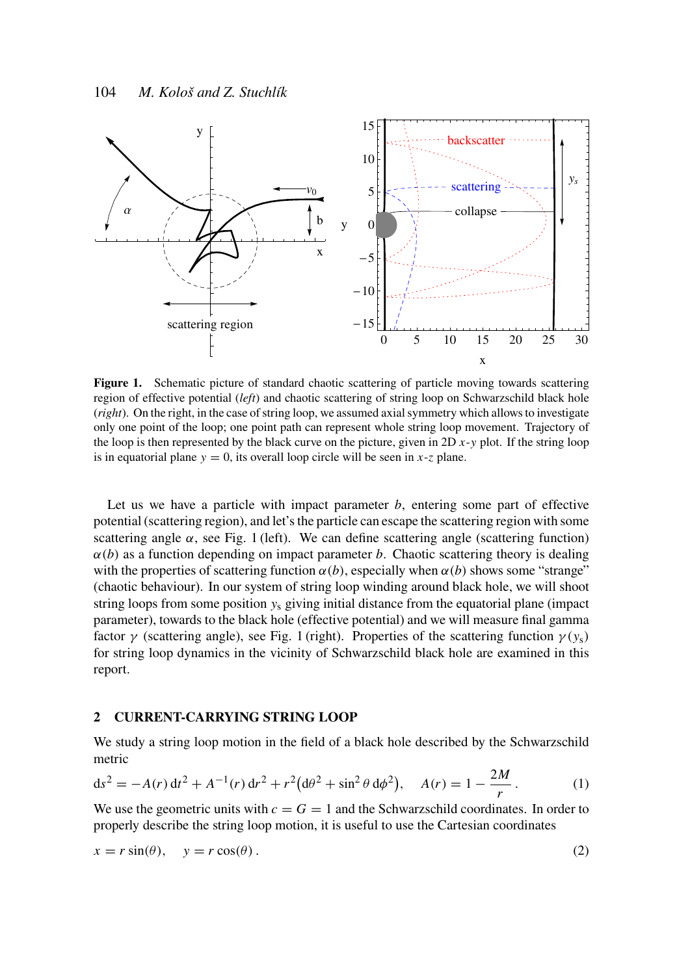

Figure 1. Schematic picture of standard chaotic scattering of particle moving towards scattering region of effective potential (*left*) and chaotic scattering of string loop on Schwarzschild black hole (*right*). On the right, in the case of string loop, we assumed axial symmetry which allows to investigate only one point of the loop; one point path can represent whole string loop movement. Trajectory of the loop is then represented by the black curve on the picture, given in 2D *x*-*y* plot. If the string loop is in equatorial plane  $y = 0$ , its overall loop circle will be seen in *x*-*z* plane.

Let us we have a particle with impact parameter *b*, entering some part of effective potential (scattering region), and let's the particle can escape the scattering region with some scattering angle  $\alpha$ , see Fig. 1 (left). We can define scattering angle (scattering function)  $\alpha(b)$  as a function depending on impact parameter *b*. Chaotic scattering theory is dealing with the properties of scattering function  $\alpha(b)$ , especially when  $\alpha(b)$  shows some "strange" (chaotic behaviour). In our system of string loop winding around black hole, we will shoot string loops from some position  $y_s$  giving initial distance from the equatorial plane (impact parameter), towards to the black hole (effective potential) and we will measure final gamma factor  $\gamma$  (scattering angle), see Fig. 1 (right). Properties of the scattering function  $\gamma(y_s)$ for string loop dynamics in the vicinity of Schwarzschild black hole are examined in this report.

### 2 CURRENT-CARRYING STRING LOOP

We study a string loop motion in the field of a black hole described by the Schwarzschild metric

$$
ds^{2} = -A(r) dt^{2} + A^{-1}(r) dr^{2} + r^{2} (d\theta^{2} + \sin^{2} \theta d\phi^{2}), \quad A(r) = 1 - \frac{2M}{r}.
$$
 (1)

We use the geometric units with  $c = G = 1$  and the Schwarzschild coordinates. In order to properly describe the string loop motion, it is useful to use the Cartesian coordinates

$$
x = r\sin(\theta), \quad y = r\cos(\theta). \tag{2}
$$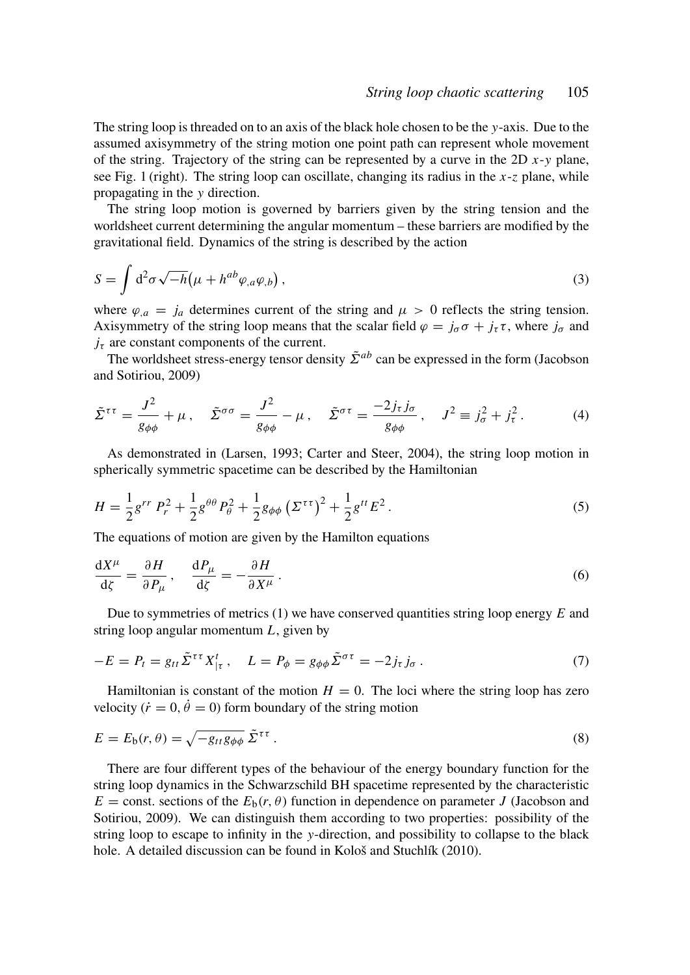The string loop is threaded on to an axis of the black hole chosen to be the *y*-axis. Due to the assumed axisymmetry of the string motion one point path can represent whole movement of the string. Trajectory of the string can be represented by a curve in the 2D *x*-*y* plane, see Fig. 1 (right). The string loop can oscillate, changing its radius in the *x*-*z* plane, while propagating in the *y* direction.

The string loop motion is governed by barriers given by the string tension and the worldsheet current determining the angular momentum – these barriers are modified by the gravitational field. Dynamics of the string is described by the action

$$
S = \int d^2 \sigma \sqrt{-h} \left( \mu + h^{ab} \varphi_{,a} \varphi_{,b} \right), \tag{3}
$$

where  $\varphi_{a} = j_{a}$  determines current of the string and  $\mu > 0$  reflects the string tension. Axisymmetry of the string loop means that the scalar field  $\varphi = j_{\sigma} \sigma + j_{\tau} \tau$ , where  $j_{\sigma}$  and  $j_{\tau}$  are constant components of the current.

The worldsheet stress-energy tensor density  $\tilde{\Sigma}^{ab}$  can be expressed in the form (Jacobson and Sotiriou, 2009)

$$
\tilde{\Sigma}^{\tau\tau} = \frac{J^2}{g_{\phi\phi}} + \mu \,, \quad \tilde{\Sigma}^{\sigma\sigma} = \frac{J^2}{g_{\phi\phi}} - \mu \,, \quad \tilde{\Sigma}^{\sigma\tau} = \frac{-2j_{\tau}j_{\sigma}}{g_{\phi\phi}} \,, \quad J^2 \equiv j_{\sigma}^2 + j_{\tau}^2 \,. \tag{4}
$$

As demonstrated in (Larsen, 1993; Carter and Steer, 2004), the string loop motion in spherically symmetric spacetime can be described by the Hamiltonian

$$
H = \frac{1}{2}g^{rr} P_r^2 + \frac{1}{2}g^{\theta\theta} P_\theta^2 + \frac{1}{2}g_{\phi\phi} \left(\Sigma^{\tau\tau}\right)^2 + \frac{1}{2}g^{tt} E^2. \tag{5}
$$

The equations of motion are given by the Hamilton equations

$$
\frac{\mathrm{d}X^{\mu}}{\mathrm{d}\zeta} = \frac{\partial H}{\partial P_{\mu}}, \quad \frac{\mathrm{d}P_{\mu}}{\mathrm{d}\zeta} = -\frac{\partial H}{\partial X^{\mu}}.
$$
\n(6)

Due to symmetries of metrics (1) we have conserved quantities string loop energy *E* and string loop angular momentum *L*, given by

$$
-E = P_t = g_{tt} \tilde{\Sigma}^{\tau \tau} X^t_{|\tau}, \quad L = P_{\phi} = g_{\phi\phi} \tilde{\Sigma}^{\sigma \tau} = -2j_{\tau} j_{\sigma} . \tag{7}
$$

Hamiltonian is constant of the motion  $H = 0$ . The loci where the string loop has zero velocity ( $\dot{r} = 0$ ,  $\dot{\theta} = 0$ ) form boundary of the string motion

$$
E = E_{\mathfrak{b}}(r,\theta) = \sqrt{-g_{tt}g_{\phi\phi}}\,\tilde{\Sigma}^{\tau\tau} \,. \tag{8}
$$

There are four different types of the behaviour of the energy boundary function for the string loop dynamics in the Schwarzschild BH spacetime represented by the characteristic  $E =$  const. sections of the  $E_b(r, \theta)$  function in dependence on parameter *J* (Jacobson and Sotiriou, 2009). We can distinguish them according to two properties: possibility of the string loop to escape to infinity in the *y*-direction, and possibility to collapse to the black hole. A detailed discussion can be found in Kološ and Stuchlík (2010).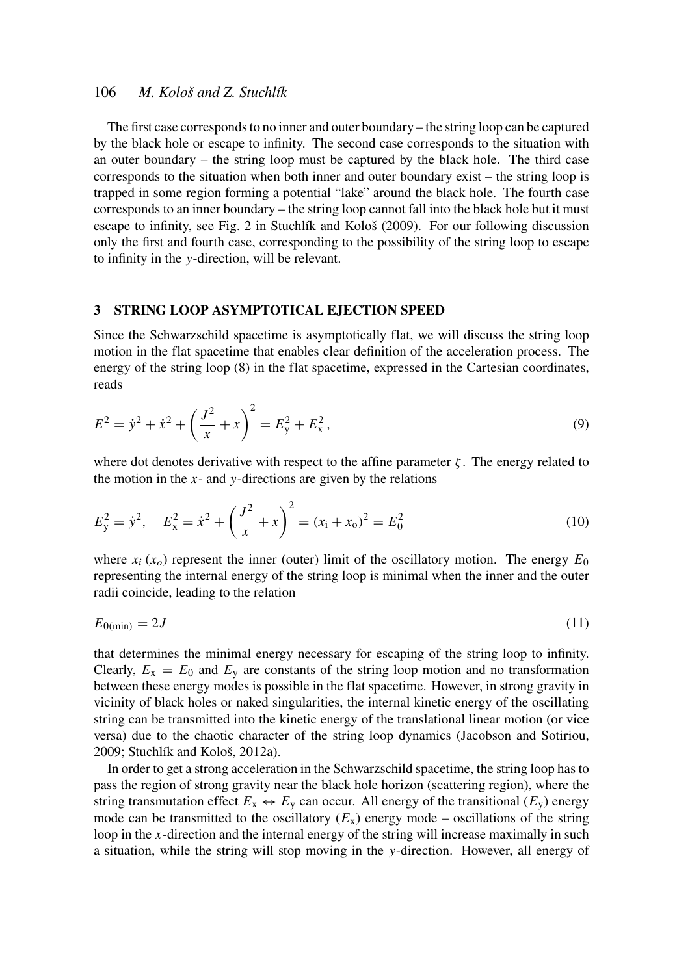# 106 *M. Kološ and Z. Stuchlík*

The first case corresponds to no inner and outer boundary – the string loop can be captured by the black hole or escape to infinity. The second case corresponds to the situation with an outer boundary – the string loop must be captured by the black hole. The third case corresponds to the situation when both inner and outer boundary exist – the string loop is trapped in some region forming a potential "lake" around the black hole. The fourth case corresponds to an inner boundary – the string loop cannot fall into the black hole but it must escape to infinity, see Fig. 2 in Stuchlík and Kološ (2009). For our following discussion only the first and fourth case, corresponding to the possibility of the string loop to escape to infinity in the *y*-direction, will be relevant.

#### 3 STRING LOOP ASYMPTOTICAL EJECTION SPEED

Since the Schwarzschild spacetime is asymptotically flat, we will discuss the string loop motion in the flat spacetime that enables clear definition of the acceleration process. The energy of the string loop (8) in the flat spacetime, expressed in the Cartesian coordinates, reads

$$
E^{2} = \dot{y}^{2} + \dot{x}^{2} + \left(\frac{J^{2}}{x} + x\right)^{2} = E_{y}^{2} + E_{x}^{2},
$$
\n(9)

where dot denotes derivative with respect to the affine parameter  $\zeta$ . The energy related to the motion in the *x*- and *y*-directions are given by the relations

$$
E_y^2 = \dot{y}^2, \quad E_x^2 = \dot{x}^2 + \left(\frac{J^2}{x} + x\right)^2 = (x_1 + x_0)^2 = E_0^2 \tag{10}
$$

where  $x_i(x_0)$  represent the inner (outer) limit of the oscillatory motion. The energy  $E_0$ representing the internal energy of the string loop is minimal when the inner and the outer radii coincide, leading to the relation

$$
E_{0(\min)} = 2J\tag{11}
$$

that determines the minimal energy necessary for escaping of the string loop to infinity. Clearly,  $E_x = E_0$  and  $E_y$  are constants of the string loop motion and no transformation between these energy modes is possible in the flat spacetime. However, in strong gravity in vicinity of black holes or naked singularities, the internal kinetic energy of the oscillating string can be transmitted into the kinetic energy of the translational linear motion (or vice versa) due to the chaotic character of the string loop dynamics (Jacobson and Sotiriou, 2009; Stuchlík and Kološ, 2012a).

In order to get a strong acceleration in the Schwarzschild spacetime, the string loop has to pass the region of strong gravity near the black hole horizon (scattering region), where the string transmutation effect  $E_x \leftrightarrow E_y$  can occur. All energy of the transitional  $(E_y)$  energy mode can be transmitted to the oscillatory  $(E_x)$  energy mode – oscillations of the string loop in the *x*-direction and the internal energy of the string will increase maximally in such a situation, while the string will stop moving in the *y*-direction. However, all energy of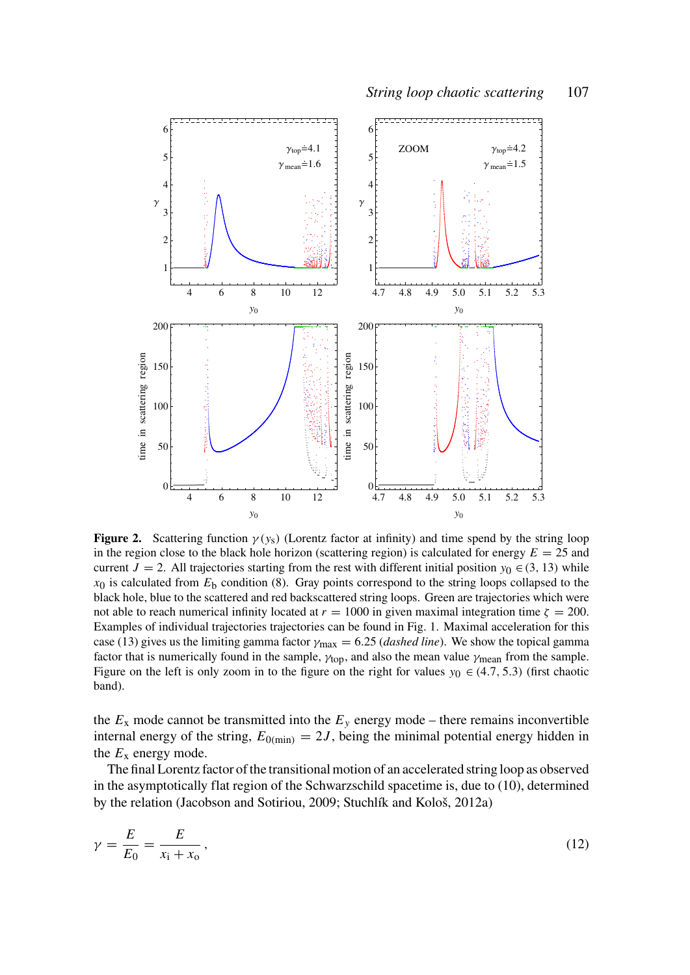

**Figure 2.** Scattering function  $\gamma(y_s)$  (Lorentz factor at infinity) and time spend by the string loop in the region close to the black hole horizon (scattering region) is calculated for energy  $E = 25$  and current *J* = 2. All trajectories starting from the rest with different initial position  $y_0 \in (3, 13)$  while  $x_0$  is calculated from  $E<sub>b</sub>$  condition (8). Gray points correspond to the string loops collapsed to the black hole, blue to the scattered and red backscattered string loops. Green are trajectories which were not able to reach numerical infinity located at  $r = 1000$  in given maximal integration time  $\zeta = 200$ . Examples of individual trajectories trajectories can be found in Fig. 1. Maximal acceleration for this case (13) gives us the limiting gamma factor  $\gamma_{\text{max}} = 6.25$  (*dashed line*). We show the topical gamma factor that is numerically found in the sample,  $\gamma_{\text{top}}$ , and also the mean value  $\gamma_{\text{mean}}$  from the sample. Figure on the left is only zoom in to the figure on the right for values  $y_0 \in (4.7, 5.3)$  (first chaotic band).

the  $E_x$  mode cannot be transmitted into the  $E_y$  energy mode – there remains inconvertible internal energy of the string,  $E_{0(\text{min})} = 2J$ , being the minimal potential energy hidden in the  $E_x$  energy mode.

The final Lorentz factor of the transitional motion of an accelerated string loop as observed in the asymptotically flat region of the Schwarzschild spacetime is, due to (10), determined by the relation (Jacobson and Sotiriou, 2009; Stuchlík and Kološ, 2012a)

$$
\gamma = \frac{E}{E_0} = \frac{E}{x_1 + x_0},\tag{12}
$$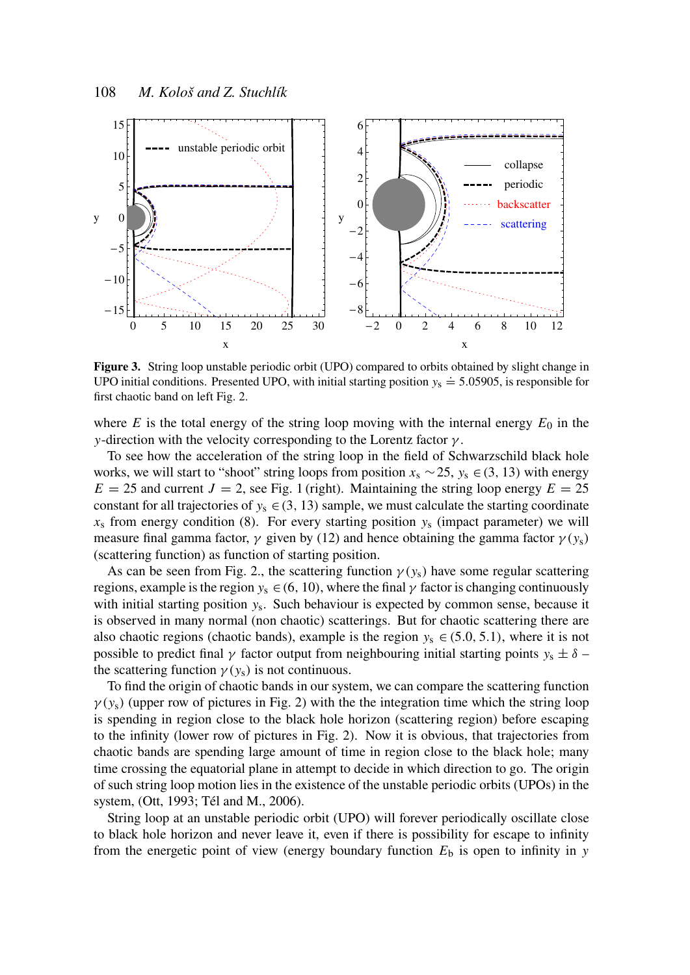

Figure 3. String loop unstable periodic orbit (UPO) compared to orbits obtained by slight change in UPO initial conditions. Presented UPO, with initial starting position  $y_s \approx 5.05905$ , is responsible for first chaotic band on left Fig. 2.

where  $E$  is the total energy of the string loop moving with the internal energy  $E_0$  in the *y*-direction with the velocity corresponding to the Lorentz factor  $\gamma$ .

To see how the acceleration of the string loop in the field of Schwarzschild black hole works, we will start to "shoot" string loops from position *x*<sup>s</sup> ∼25, *y*<sup>s</sup> ∈(3, 13) with energy  $E = 25$  and current  $J = 2$ , see Fig. 1 (right). Maintaining the string loop energy  $E = 25$ constant for all trajectories of  $y_s \in (3, 13)$  sample, we must calculate the starting coordinate  $x_s$  from energy condition (8). For every starting position  $y_s$  (impact parameter) we will measure final gamma factor,  $\gamma$  given by (12) and hence obtaining the gamma factor  $\gamma(y_s)$ (scattering function) as function of starting position.

As can be seen from Fig. 2., the scattering function  $\gamma(y_s)$  have some regular scattering regions, example is the region  $y_s \in (6, 10)$ , where the final  $\gamma$  factor is changing continuously with initial starting position *y*<sup>s</sup> . Such behaviour is expected by common sense, because it is observed in many normal (non chaotic) scatterings. But for chaotic scattering there are also chaotic regions (chaotic bands), example is the region  $y_s \in (5.0, 5.1)$ , where it is not possible to predict final  $\gamma$  factor output from neighbouring initial starting points  $y_s \pm \delta$  – the scattering function  $\gamma(y_s)$  is not continuous.

To find the origin of chaotic bands in our system, we can compare the scattering function  $\gamma(y_s)$  (upper row of pictures in Fig. 2) with the the integration time which the string loop is spending in region close to the black hole horizon (scattering region) before escaping to the infinity (lower row of pictures in Fig. 2). Now it is obvious, that trajectories from chaotic bands are spending large amount of time in region close to the black hole; many time crossing the equatorial plane in attempt to decide in which direction to go. The origin of such string loop motion lies in the existence of the unstable periodic orbits (UPOs) in the system, (Ott, 1993; Tél and M., 2006).

String loop at an unstable periodic orbit (UPO) will forever periodically oscillate close to black hole horizon and never leave it, even if there is possibility for escape to infinity from the energetic point of view (energy boundary function  $E<sub>b</sub>$  is open to infinity in *y*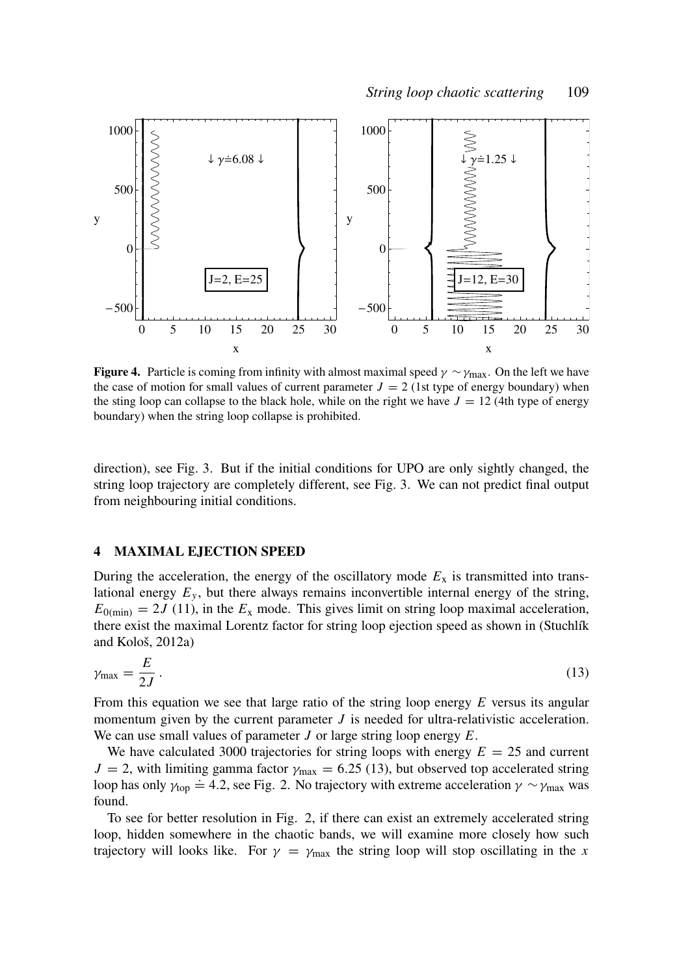

**Figure 4.** Particle is coming from infinity with almost maximal speed  $\gamma \sim \gamma_{\text{max}}$ . On the left we have the case of motion for small values of current parameter  $J = 2$  (1st type of energy boundary) when the sting loop can collapse to the black hole, while on the right we have  $J = 12$  (4th type of energy boundary) when the string loop collapse is prohibited.

direction), see Fig. 3. But if the initial conditions for UPO are only sightly changed, the string loop trajectory are completely different, see Fig. 3. We can not predict final output from neighbouring initial conditions.

#### 4 MAXIMAL EJECTION SPEED

During the acceleration, the energy of the oscillatory mode  $E<sub>x</sub>$  is transmitted into translational energy  $E_y$ , but there always remains inconvertible internal energy of the string,  $E_{0(\text{min})} = 2J(11)$ , in the  $E_x$  mode. This gives limit on string loop maximal acceleration, there exist the maximal Lorentz factor for string loop ejection speed as shown in (Stuchlík and Kološ, 2012a)

$$
\gamma_{\text{max}} = \frac{E}{2J} \,. \tag{13}
$$

From this equation we see that large ratio of the string loop energy *E* versus its angular momentum given by the current parameter *J* is needed for ultra-relativistic acceleration. We can use small values of parameter *J* or large string loop energy *E*.

We have calculated 3000 trajectories for string loops with energy  $E = 25$  and current  $J = 2$ , with limiting gamma factor  $\gamma_{\text{max}} = 6.25$  (13), but observed top accelerated string  $\mathcal{L} = 2$ , with minimg gamma ractor  $\gamma_{\text{max}} = 0.25$  (15), our observed top acceleration  $\gamma \sim \gamma_{\text{max}}$  was loop has only  $\gamma_{\text{top}} = 4.2$ , see Fig. 2. No trajectory with extreme acceleration  $\gamma \sim \gamma_{\text{max}}$  was found.

To see for better resolution in Fig. 2, if there can exist an extremely accelerated string loop, hidden somewhere in the chaotic bands, we will examine more closely how such trajectory will looks like. For  $\gamma = \gamma_{\text{max}}$  the string loop will stop oscillating in the *x*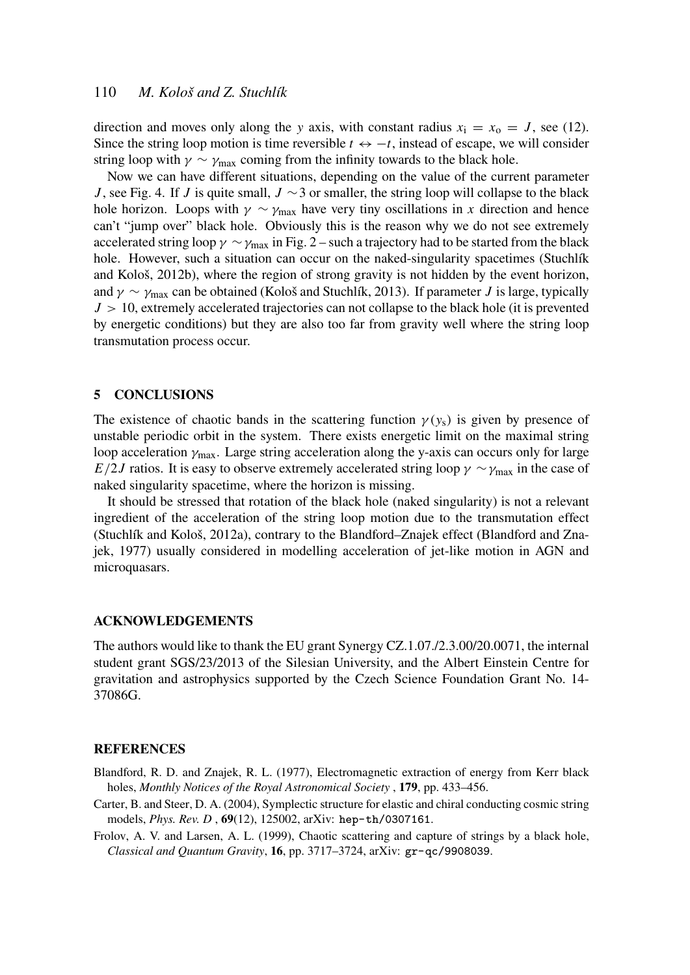# 110 *M. Kološ and Z. Stuchlík*

direction and moves only along the *y* axis, with constant radius  $x_i = x_0 = J$ , see (12). Since the string loop motion is time reversible  $t \leftrightarrow -t$ , instead of escape, we will consider string loop with  $\gamma \sim \gamma_{\text{max}}$  coming from the infinity towards to the black hole.

Now we can have different situations, depending on the value of the current parameter *J*, see Fig. 4. If *J* is quite small, *J* ∼3 or smaller, the string loop will collapse to the black hole horizon. Loops with  $\gamma \sim \gamma_{\text{max}}$  have very tiny oscillations in *x* direction and hence can't "jump over" black hole. Obviously this is the reason why we do not see extremely accelerated string loop  $\gamma \sim \gamma_{\rm max}$  in Fig. 2 – such a trajectory had to be started from the black hole. However, such a situation can occur on the naked-singularity spacetimes (Stuchlík and Kološ, 2012b), where the region of strong gravity is not hidden by the event horizon, and  $\gamma \sim \gamma_{\text{max}}$  can be obtained (Kološ and Stuchlík, 2013). If parameter *J* is large, typically  $J > 10$ , extremely accelerated trajectories can not collapse to the black hole (it is prevented by energetic conditions) but they are also too far from gravity well where the string loop transmutation process occur.

#### 5 CONCLUSIONS

The existence of chaotic bands in the scattering function  $\gamma(y_s)$  is given by presence of unstable periodic orbit in the system. There exists energetic limit on the maximal string loop acceleration  $\gamma_{\text{max}}$ . Large string acceleration along the y-axis can occurs only for large *E*/2*J* ratios. It is easy to observe extremely accelerated string loop  $\gamma \sim \gamma_{\text{max}}$  in the case of naked singularity spacetime, where the horizon is missing.

It should be stressed that rotation of the black hole (naked singularity) is not a relevant ingredient of the acceleration of the string loop motion due to the transmutation effect (Stuchlík and Kološ, 2012a), contrary to the Blandford–Znajek effect (Blandford and Znajek, 1977) usually considered in modelling acceleration of jet-like motion in AGN and microquasars.

#### ACKNOWLEDGEMENTS

The authors would like to thank the EU grant Synergy CZ.1.07./2.3.00/20.0071, the internal student grant SGS/23/2013 of the Silesian University, and the Albert Einstein Centre for gravitation and astrophysics supported by the Czech Science Foundation Grant No. 14- 37086G.

#### **REFERENCES**

- Blandford, R. D. and Znajek, R. L. (1977), Electromagnetic extraction of energy from Kerr black holes, *Monthly Notices of the Royal Astronomical Society* , 179, pp. 433–456.
- Carter, B. and Steer, D. A. (2004), Symplectic structure for elastic and chiral conducting cosmic string models, *Phys. Rev. D* , 69(12), 125002, arXiv: hep-th/0307161.
- Frolov, A. V. and Larsen, A. L. (1999), Chaotic scattering and capture of strings by a black hole, *Classical and Quantum Gravity*, 16, pp. 3717–3724, arXiv: gr-qc/9908039.